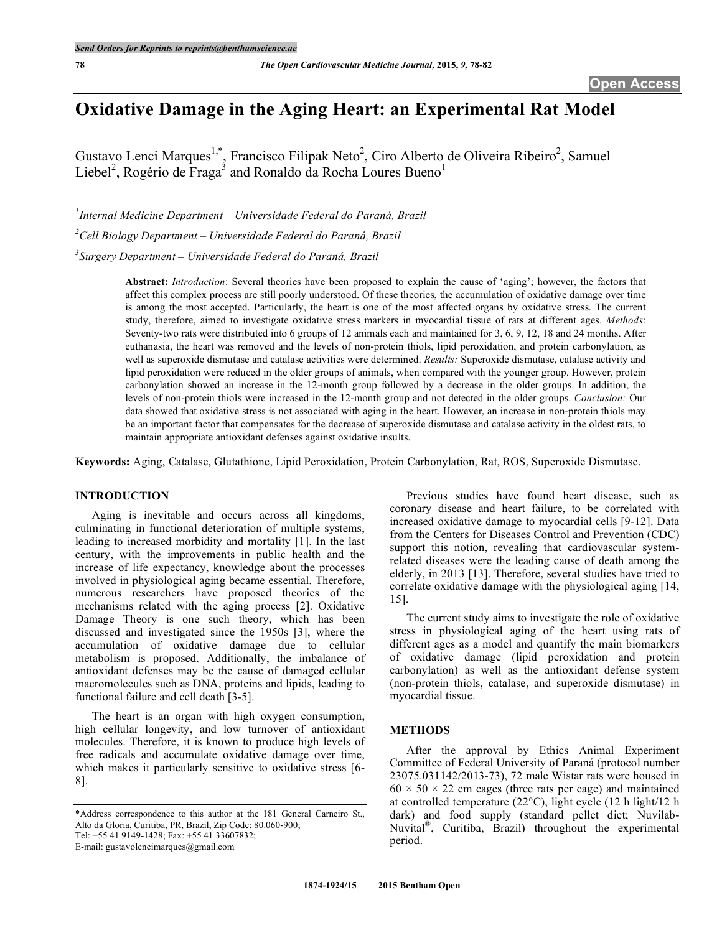# **Oxidative Damage in the Aging Heart: an Experimental Rat Model**

Gustavo Lenci Marques<sup>1,\*</sup>, Francisco Filipak Neto<sup>2</sup>, Ciro Alberto de Oliveira Ribeiro<sup>2</sup>, Samuel Liebel<sup>2</sup>, Rogério de Fraga<sup>3</sup> and Ronaldo da Rocha Loures Bueno<sup>1</sup>

*1 Internal Medicine Department – Universidade Federal do Paraná, Brazil 2 Cell Biology Department – Universidade Federal do Paraná, Brazil*

*3 Surgery Department – Universidade Federal do Paraná, Brazil*

**Abstract:** *Introduction*: Several theories have been proposed to explain the cause of 'aging'; however, the factors that affect this complex process are still poorly understood. Of these theories, the accumulation of oxidative damage over time is among the most accepted. Particularly, the heart is one of the most affected organs by oxidative stress. The current study, therefore, aimed to investigate oxidative stress markers in myocardial tissue of rats at different ages. *Methods*: Seventy-two rats were distributed into 6 groups of 12 animals each and maintained for 3, 6, 9, 12, 18 and 24 months. After euthanasia, the heart was removed and the levels of non-protein thiols, lipid peroxidation, and protein carbonylation, as well as superoxide dismutase and catalase activities were determined. *Results:* Superoxide dismutase, catalase activity and lipid peroxidation were reduced in the older groups of animals, when compared with the younger group. However, protein carbonylation showed an increase in the 12-month group followed by a decrease in the older groups. In addition, the levels of non-protein thiols were increased in the 12-month group and not detected in the older groups. *Conclusion:* Our data showed that oxidative stress is not associated with aging in the heart. However, an increase in non-protein thiols may be an important factor that compensates for the decrease of superoxide dismutase and catalase activity in the oldest rats, to maintain appropriate antioxidant defenses against oxidative insults.

**Keywords:** Aging, Catalase, Glutathione, Lipid Peroxidation, Protein Carbonylation, Rat, ROS, Superoxide Dismutase.

# **INTRODUCTION**

Aging is inevitable and occurs across all kingdoms, culminating in functional deterioration of multiple systems, leading to increased morbidity and mortality [1]. In the last century, with the improvements in public health and the increase of life expectancy, knowledge about the processes involved in physiological aging became essential. Therefore, numerous researchers have proposed theories of the mechanisms related with the aging process [2]. Oxidative Damage Theory is one such theory, which has been discussed and investigated since the 1950s [3], where the accumulation of oxidative damage due to cellular metabolism is proposed. Additionally, the imbalance of antioxidant defenses may be the cause of damaged cellular macromolecules such as DNA, proteins and lipids, leading to functional failure and cell death [3-5].

The heart is an organ with high oxygen consumption, high cellular longevity, and low turnover of antioxidant molecules. Therefore, it is known to produce high levels of free radicals and accumulate oxidative damage over time, which makes it particularly sensitive to oxidative stress [6-8].

\*Address correspondence to this author at the 181 General Carneiro St., Alto da Gloria, Curitiba, PR, Brazil, Zip Code: 80.060-900;

Tel: +55 41 9149-1428; Fax: +55 41 33607832;

E-mail: gustavolencimarques@gmail.com

Previous studies have found heart disease, such as coronary disease and heart failure, to be correlated with increased oxidative damage to myocardial cells [9-12]. Data from the Centers for Diseases Control and Prevention (CDC) support this notion, revealing that cardiovascular systemrelated diseases were the leading cause of death among the elderly, in 2013 [13]. Therefore, several studies have tried to correlate oxidative damage with the physiological aging [14, 15].

The current study aims to investigate the role of oxidative stress in physiological aging of the heart using rats of different ages as a model and quantify the main biomarkers of oxidative damage (lipid peroxidation and protein carbonylation) as well as the antioxidant defense system (non-protein thiols, catalase, and superoxide dismutase) in myocardial tissue.

#### **METHODS**

After the approval by Ethics Animal Experiment Committee of Federal University of Paraná (protocol number 23075.031142/2013-73), 72 male Wistar rats were housed in  $60 \times 50 \times 22$  cm cages (three rats per cage) and maintained at controlled temperature (22°C), light cycle (12 h light/12 h dark) and food supply (standard pellet diet; Nuvilab-Nuvital®, Curitiba, Brazil) throughout the experimental period.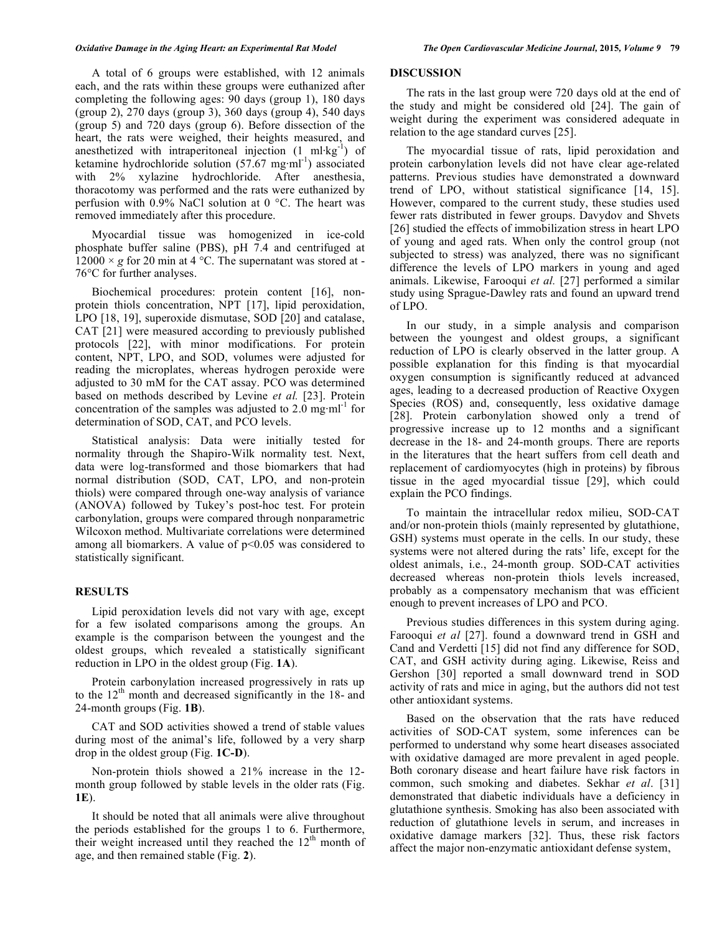A total of 6 groups were established, with 12 animals each, and the rats within these groups were euthanized after completing the following ages: 90 days (group 1), 180 days (group 2), 270 days (group 3), 360 days (group 4), 540 days (group 5) and 720 days (group 6). Before dissection of the heart, the rats were weighed, their heights measured, and anesthetized with intraperitoneal injection  $(1 \text{ ml·kg}^{-1})$  of ketamine hydrochloride solution  $(57.67 \text{ mg} \cdot \text{m}^{\text{1}})$  associated with 2% xylazine hydrochloride. After anesthesia, thoracotomy was performed and the rats were euthanized by perfusion with 0.9% NaCl solution at 0 °C. The heart was removed immediately after this procedure.

Myocardial tissue was homogenized in ice-cold phosphate buffer saline (PBS), pH 7.4 and centrifuged at  $12000 \times g$  for 20 min at 4 °C. The supernatant was stored at -76°C for further analyses.

Biochemical procedures: protein content [16], nonprotein thiols concentration, NPT [17], lipid peroxidation, LPO [18, 19], superoxide dismutase, SOD [20] and catalase, CAT [21] were measured according to previously published protocols [22], with minor modifications. For protein content, NPT, LPO, and SOD, volumes were adjusted for reading the microplates, whereas hydrogen peroxide were adjusted to 30 mM for the CAT assay. PCO was determined based on methods described by Levine *et al.* [23]. Protein concentration of the samples was adjusted to  $2.0 \text{ mg} \cdot \text{ml}^{-1}$  for determination of SOD, CAT, and PCO levels.

Statistical analysis: Data were initially tested for normality through the Shapiro-Wilk normality test. Next, data were log-transformed and those biomarkers that had normal distribution (SOD, CAT, LPO, and non-protein thiols) were compared through one-way analysis of variance (ANOVA) followed by Tukey's post-hoc test. For protein carbonylation, groups were compared through nonparametric Wilcoxon method. Multivariate correlations were determined among all biomarkers. A value of  $p<0.05$  was considered to statistically significant.

#### **RESULTS**

Lipid peroxidation levels did not vary with age, except for a few isolated comparisons among the groups. An example is the comparison between the youngest and the oldest groups, which revealed a statistically significant reduction in LPO in the oldest group (Fig. **1A**).

Protein carbonylation increased progressively in rats up to the  $12<sup>th</sup>$  month and decreased significantly in the 18- and 24-month groups (Fig. **1B**).

CAT and SOD activities showed a trend of stable values during most of the animal's life, followed by a very sharp drop in the oldest group (Fig. **1C-D**).

Non-protein thiols showed a 21% increase in the 12 month group followed by stable levels in the older rats (Fig. **1E**).

It should be noted that all animals were alive throughout the periods established for the groups 1 to 6. Furthermore, their weight increased until they reached the  $12<sup>th</sup>$  month of age, and then remained stable (Fig. **2**).

# **DISCUSSION**

The rats in the last group were 720 days old at the end of the study and might be considered old [24]. The gain of weight during the experiment was considered adequate in relation to the age standard curves [25].

The myocardial tissue of rats, lipid peroxidation and protein carbonylation levels did not have clear age-related patterns. Previous studies have demonstrated a downward trend of LPO, without statistical significance [14, 15]. However, compared to the current study, these studies used fewer rats distributed in fewer groups. Davydov and Shvets [26] studied the effects of immobilization stress in heart LPO of young and aged rats. When only the control group (not subjected to stress) was analyzed, there was no significant difference the levels of LPO markers in young and aged animals. Likewise, Farooqui *et al.* [27] performed a similar study using Sprague-Dawley rats and found an upward trend of LPO.

In our study, in a simple analysis and comparison between the youngest and oldest groups, a significant reduction of LPO is clearly observed in the latter group. A possible explanation for this finding is that myocardial oxygen consumption is significantly reduced at advanced ages, leading to a decreased production of Reactive Oxygen Species (ROS) and, consequently, less oxidative damage [28]. Protein carbonylation showed only a trend of progressive increase up to 12 months and a significant decrease in the 18- and 24-month groups. There are reports in the literatures that the heart suffers from cell death and replacement of cardiomyocytes (high in proteins) by fibrous tissue in the aged myocardial tissue [29], which could explain the PCO findings.

To maintain the intracellular redox milieu, SOD-CAT and/or non-protein thiols (mainly represented by glutathione, GSH) systems must operate in the cells. In our study, these systems were not altered during the rats' life, except for the oldest animals, i.e., 24-month group. SOD-CAT activities decreased whereas non-protein thiols levels increased, probably as a compensatory mechanism that was efficient enough to prevent increases of LPO and PCO.

Previous studies differences in this system during aging. Farooqui *et al* [27]. found a downward trend in GSH and Cand and Verdetti [15] did not find any difference for SOD, CAT, and GSH activity during aging. Likewise, Reiss and Gershon [30] reported a small downward trend in SOD activity of rats and mice in aging, but the authors did not test other antioxidant systems.

Based on the observation that the rats have reduced activities of SOD-CAT system, some inferences can be performed to understand why some heart diseases associated with oxidative damaged are more prevalent in aged people. Both coronary disease and heart failure have risk factors in common, such smoking and diabetes. Sekhar *et al*. [31] demonstrated that diabetic individuals have a deficiency in glutathione synthesis. Smoking has also been associated with reduction of glutathione levels in serum, and increases in oxidative damage markers [32]. Thus, these risk factors affect the major non-enzymatic antioxidant defense system,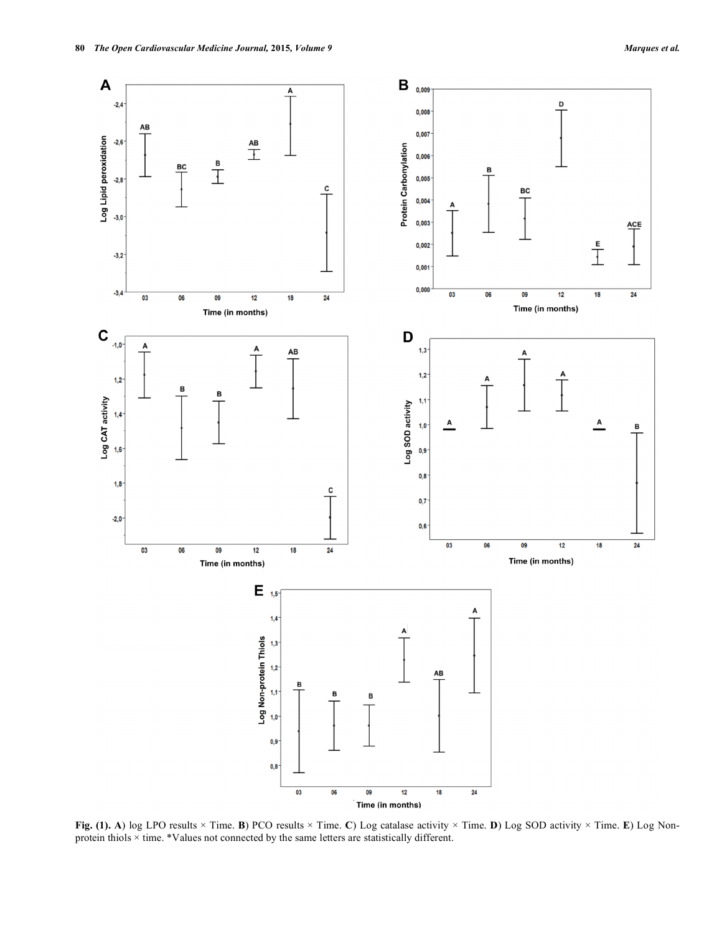

**Fig. (1). A**) log LPO results × Time. **B**) PCO results × Time. **C**) Log catalase activity × Time. **D**) Log SOD activity × Time. **E**) Log Nonprotein thiols × time. \*Values not connected by the same letters are statistically different.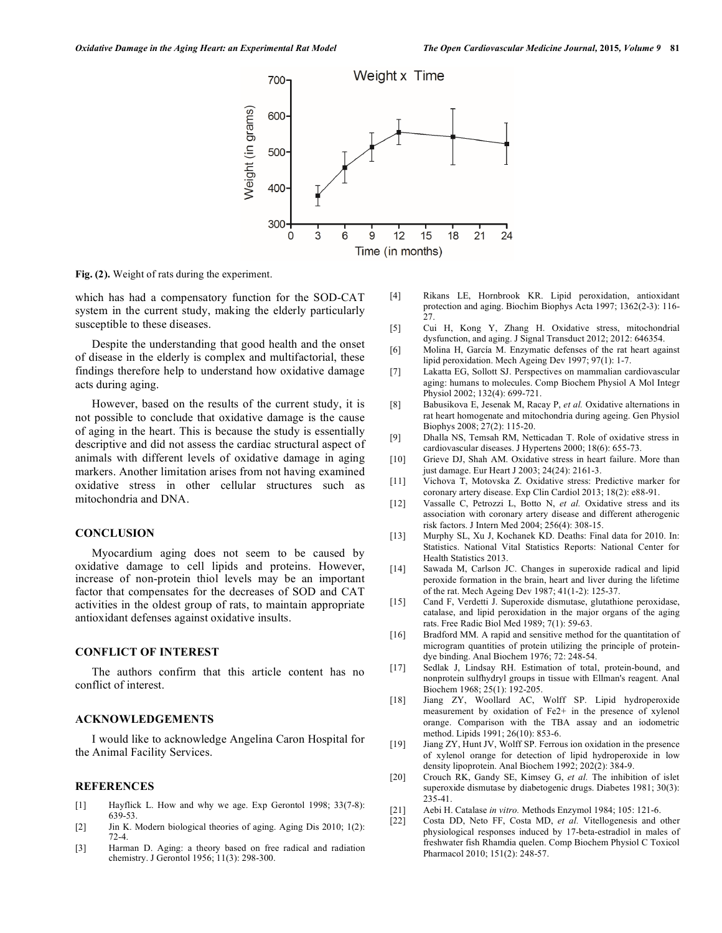

**Fig. (2).** Weight of rats during the experiment.

which has had a compensatory function for the SOD-CAT system in the current study, making the elderly particularly susceptible to these diseases.

Despite the understanding that good health and the onset of disease in the elderly is complex and multifactorial, these findings therefore help to understand how oxidative damage acts during aging.

However, based on the results of the current study, it is not possible to conclude that oxidative damage is the cause of aging in the heart. This is because the study is essentially descriptive and did not assess the cardiac structural aspect of animals with different levels of oxidative damage in aging markers. Another limitation arises from not having examined oxidative stress in other cellular structures such as mitochondria and DNA.

## **CONCLUSION**

Myocardium aging does not seem to be caused by oxidative damage to cell lipids and proteins. However, increase of non-protein thiol levels may be an important factor that compensates for the decreases of SOD and CAT activities in the oldest group of rats, to maintain appropriate antioxidant defenses against oxidative insults.

### **CONFLICT OF INTEREST**

The authors confirm that this article content has no conflict of interest.

# **ACKNOWLEDGEMENTS**

I would like to acknowledge Angelina Caron Hospital for the Animal Facility Services.

### **REFERENCES**

- [1] Hayflick L. How and why we age. Exp Gerontol 1998; 33(7-8): 639-53.
- [2] Jin K. Modern biological theories of aging. Aging Dis 2010; 1(2): 72-4.
- [3] Harman D. Aging: a theory based on free radical and radiation chemistry. J Gerontol 1956; 11(3): 298-300.
- [4] Rikans LE, Hornbrook KR. Lipid peroxidation, antioxidant protection and aging. Biochim Biophys Acta 1997; 1362(2-3): 116- 27.
- [5] Cui H, Kong Y, Zhang H. Oxidative stress, mitochondrial dysfunction, and aging. J Signal Transduct 2012; 2012: 646354.
- [6] Molina H, García M. Enzymatic defenses of the rat heart against lipid peroxidation. Mech Ageing Dev 1997; 97(1): 1-7.
- [7] Lakatta EG, Sollott SJ. Perspectives on mammalian cardiovascular aging: humans to molecules. Comp Biochem Physiol A Mol Integr Physiol 2002; 132(4): 699-721.
- [8] Babusikova E, Jesenak M, Racay P, *et al.* Oxidative alternations in rat heart homogenate and mitochondria during ageing. Gen Physiol Biophys 2008; 27(2): 115-20.
- [9] Dhalla NS, Temsah RM, Netticadan T. Role of oxidative stress in cardiovascular diseases. J Hypertens 2000; 18(6): 655-73.
- [10] Grieve DJ, Shah AM. Oxidative stress in heart failure. More than just damage. Eur Heart J 2003; 24(24): 2161-3.
- [11] Vichova T, Motovska Z. Oxidative stress: Predictive marker for coronary artery disease. Exp Clin Cardiol 2013; 18(2): e88-91.
- [12] Vassalle C, Petrozzi L, Botto N, *et al.* Oxidative stress and its association with coronary artery disease and different atherogenic risk factors. J Intern Med 2004; 256(4): 308-15.
- [13] Murphy SL, Xu J, Kochanek KD. Deaths: Final data for 2010. In: Statistics. National Vital Statistics Reports: National Center for Health Statistics 2013.
- [14] Sawada M, Carlson JC. Changes in superoxide radical and lipid peroxide formation in the brain, heart and liver during the lifetime of the rat. Mech Ageing Dev 1987; 41(1-2): 125-37.
- [15] Cand F, Verdetti J. Superoxide dismutase, glutathione peroxidase, catalase, and lipid peroxidation in the major organs of the aging rats. Free Radic Biol Med 1989; 7(1): 59-63.
- [16] Bradford MM. A rapid and sensitive method for the quantitation of microgram quantities of protein utilizing the principle of proteindye binding. Anal Biochem 1976; 72: 248-54.
- [17] Sedlak J, Lindsay RH. Estimation of total, protein-bound, and nonprotein sulfhydryl groups in tissue with Ellman's reagent. Anal Biochem 1968; 25(1): 192-205.
- [18] Jiang ZY, Woollard AC, Wolff SP. Lipid hydroperoxide measurement by oxidation of Fe2+ in the presence of xylenol orange. Comparison with the TBA assay and an iodometric method. Lipids 1991; 26(10): 853-6.
- [19] Jiang ZY, Hunt JV, Wolff SP. Ferrous ion oxidation in the presence of xylenol orange for detection of lipid hydroperoxide in low density lipoprotein. Anal Biochem 1992; 202(2): 384-9.
- [20] Crouch RK, Gandy SE, Kimsey G, *et al.* The inhibition of islet superoxide dismutase by diabetogenic drugs. Diabetes 1981; 30(3): 235-41.
- [21] Aebi H. Catalase *in vitro.* Methods Enzymol 1984; 105: 121-6.
- [22] Costa DD, Neto FF, Costa MD, *et al.* Vitellogenesis and other physiological responses induced by 17-beta-estradiol in males of freshwater fish Rhamdia quelen. Comp Biochem Physiol C Toxicol Pharmacol 2010; 151(2): 248-57.